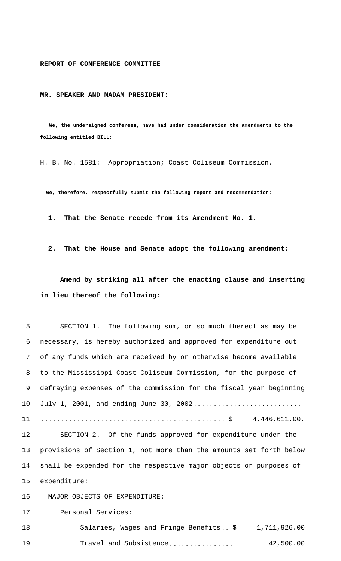**REPORT OF CONFERENCE COMMITTEE**

**MR. SPEAKER AND MADAM PRESIDENT:**

 **We, the undersigned conferees, have had under consideration the amendments to the following entitled BILL:**

H. B. No. 1581: Appropriation; Coast Coliseum Commission.

 **We, therefore, respectfully submit the following report and recommendation:**

 **1. That the Senate recede from its Amendment No. 1.**

 **2. That the House and Senate adopt the following amendment:**

**Amend by striking all after the enacting clause and inserting in lieu thereof the following:**

5 SECTION 1. The following sum, or so much thereof as may be necessary, is hereby authorized and approved for expenditure out of any funds which are received by or otherwise become available to the Mississippi Coast Coliseum Commission, for the purpose of defraying expenses of the commission for the fiscal year beginning 10 July 1, 2001, and ending June 30, 2002............................ .............................................. \$ 4,446,611.00. SECTION 2. Of the funds approved for expenditure under the provisions of Section 1, not more than the amounts set forth below shall be expended for the respective major objects or purposes of expenditure: 16 MAJOR OBJECTS OF EXPENDITURE: Personal Services: 18 Salaries, Wages and Fringe Benefits.. \$ 1,711,926.00 19 Travel and Subsistence................ 42,500.00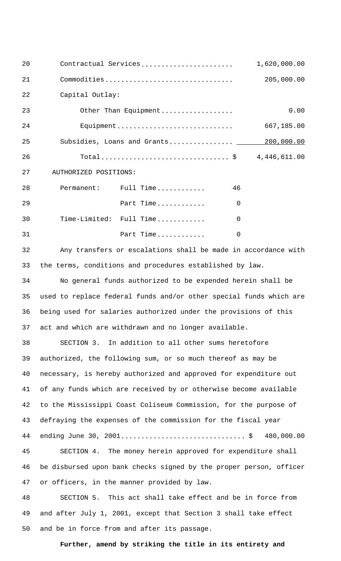| 20 |                       | Contractual Services    |    | 1,620,000.00 |
|----|-----------------------|-------------------------|----|--------------|
| 21 |                       | Commodities             |    | 205,000.00   |
| 22 | Capital Outlay:       |                         |    |              |
| 23 | Other Than Equipment  |                         |    | 0.00         |
| 24 | Equipment             |                         |    | 667,185.00   |
| 25 |                       |                         |    |              |
| 26 | Total\$ 4,446,611.00  |                         |    |              |
| 27 | AUTHORIZED POSITIONS: |                         |    |              |
| 28 |                       | Permanent: Full Time    | 46 |              |
| 29 |                       | Part Time               | 0  |              |
| 30 |                       | Time-Limited: Full Time | 0  |              |
| 31 |                       | Part Time               | 0  |              |
|    |                       |                         |    |              |

32 Any transfers or escalations shall be made in accordance with 33 the terms, conditions and procedures established by law.

 No general funds authorized to be expended herein shall be used to replace federal funds and/or other special funds which are being used for salaries authorized under the provisions of this act and which are withdrawn and no longer available.

38 SECTION 3. In addition to all other sums heretofore authorized, the following sum, or so much thereof as may be necessary, is hereby authorized and approved for expenditure out of any funds which are received by or otherwise become available to the Mississippi Coast Coliseum Commission, for the purpose of defraying the expenses of the commission for the fiscal year ending June 30, 2001............................... \$ 480,000.00

45 SECTION 4. The money herein approved for expenditure shall 46 be disbursed upon bank checks signed by the proper person, officer 47 or officers, in the manner provided by law.

48 SECTION 5. This act shall take effect and be in force from 49 and after July 1, 2001, except that Section 3 shall take effect 50 and be in force from and after its passage.

**Further, amend by striking the title in its entirety and**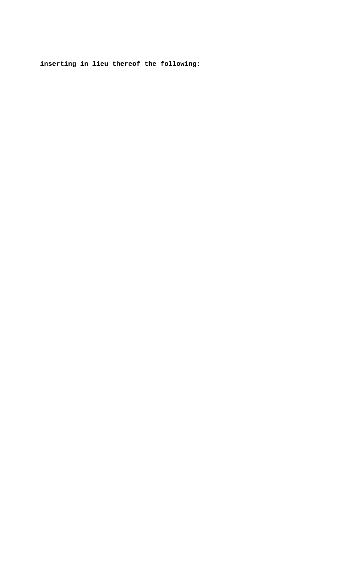**inserting in lieu thereof the following:**